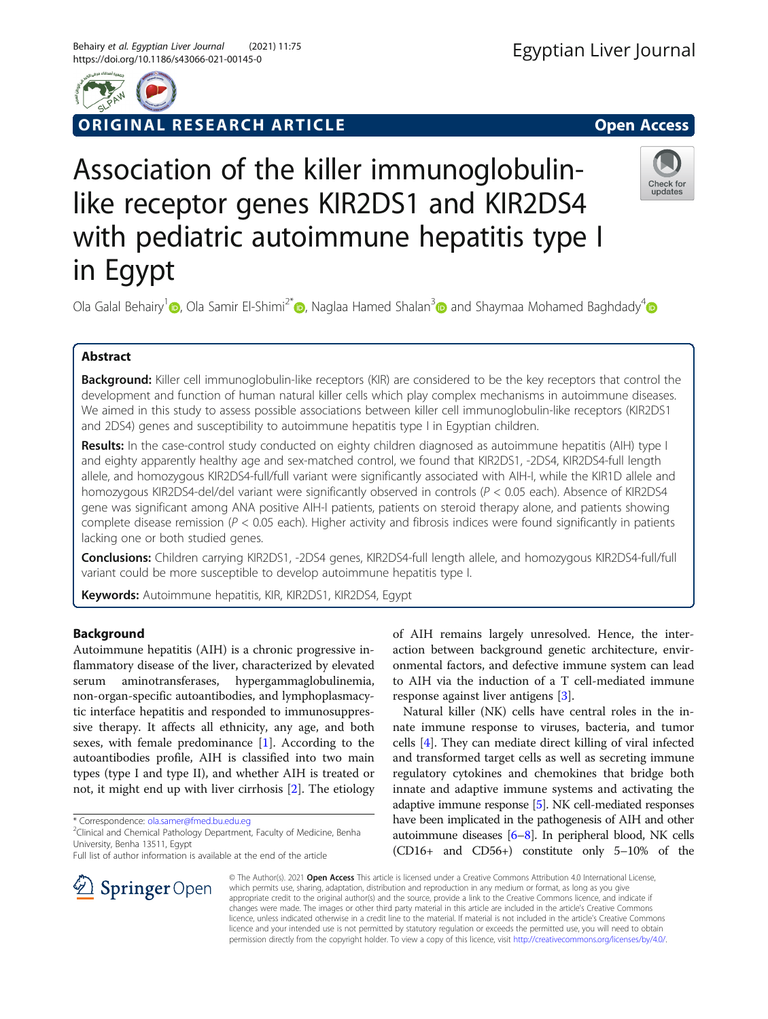

ORIGINAL RESEARCH ARTICLE **Solution Contract Contract Contract Contract Contract Contract Contract Contract Contract Contract Contract Contract Contract Contract Contract Contract Contract Contract Contract Contract Contra** 

Check for updates

# Association of the killer immunoglobulinlike receptor genes KIR2DS1 and KIR2DS4 with pediatric autoimmune hepatitis type I in Egypt

Ola Galal Behairy<sup>1</sup> [,](http://orcid.org/0000-0001-8276-8352) Ola Samir El-Shimi<sup>2\*</sup> , Naglaa Hamed Shalan<sup>3</sup> and Shaymaa Mohamed Baghdady<sup>[4](https://orcid.org/0000-0003-3419-3747)</sup> and Shaymaa Mohamed Baghdady<sup>4</sup>

# Abstract

Background: Killer cell immunoglobulin-like receptors (KIR) are considered to be the key receptors that control the development and function of human natural killer cells which play complex mechanisms in autoimmune diseases. We aimed in this study to assess possible associations between killer cell immunoglobulin-like receptors (KIR2DS1 and 2DS4) genes and susceptibility to autoimmune hepatitis type I in Egyptian children.

Results: In the case-control study conducted on eighty children diagnosed as autoimmune hepatitis (AIH) type I and eighty apparently healthy age and sex-matched control, we found that KIR2DS1, -2DS4, KIR2DS4-full length allele, and homozygous KIR2DS4-full/full variant were significantly associated with AIH-I, while the KIR1D allele and homozygous KIR2DS4-del/del variant were significantly observed in controls (P < 0.05 each). Absence of KIR2DS4 gene was significant among ANA positive AIH-I patients, patients on steroid therapy alone, and patients showing complete disease remission ( $P < 0.05$  each). Higher activity and fibrosis indices were found significantly in patients lacking one or both studied genes.

Conclusions: Children carrying KIR2DS1, -2DS4 genes, KIR2DS4-full length allele, and homozygous KIR2DS4-full/full variant could be more susceptible to develop autoimmune hepatitis type I.

Keywords: Autoimmune hepatitis, KIR, KIR2DS1, KIR2DS4, Egypt

# Background

Autoimmune hepatitis (AIH) is a chronic progressive inflammatory disease of the liver, characterized by elevated serum aminotransferases, hypergammaglobulinemia, non-organ-specific autoantibodies, and lymphoplasmacytic interface hepatitis and responded to immunosuppressive therapy. It affects all ethnicity, any age, and both sexes, with female predominance  $[1]$  $[1]$ . According to the autoantibodies profile, AIH is classified into two main types (type I and type II), and whether AIH is treated or not, it might end up with liver cirrhosis [[2\]](#page-6-0). The etiology

\* Correspondence: [ola.samer@fmed.bu.edu.eg](mailto:ola.samer@fmed.bu.edu.eg) <sup>2</sup>

SpringerOpen

<sup>2</sup>Clinical and Chemical Pathology Department, Faculty of Medicine, Benha University, Benha 13511, Egypt

Full list of author information is available at the end of the article

of AIH remains largely unresolved. Hence, the interaction between background genetic architecture, environmental factors, and defective immune system can lead to AIH via the induction of a T cell-mediated immune response against liver antigens [\[3](#page-6-0)].

Natural killer (NK) cells have central roles in the innate immune response to viruses, bacteria, and tumor cells [[4\]](#page-6-0). They can mediate direct killing of viral infected and transformed target cells as well as secreting immune regulatory cytokines and chemokines that bridge both innate and adaptive immune systems and activating the adaptive immune response [\[5\]](#page-6-0). NK cell-mediated responses have been implicated in the pathogenesis of AIH and other autoimmune diseases [\[6](#page-6-0)–[8\]](#page-6-0). In peripheral blood, NK cells (CD16+ and CD56+) constitute only 5–10% of the

© The Author(s). 2021 Open Access This article is licensed under a Creative Commons Attribution 4.0 International License, which permits use, sharing, adaptation, distribution and reproduction in any medium or format, as long as you give appropriate credit to the original author(s) and the source, provide a link to the Creative Commons licence, and indicate if changes were made. The images or other third party material in this article are included in the article's Creative Commons licence, unless indicated otherwise in a credit line to the material. If material is not included in the article's Creative Commons licence and your intended use is not permitted by statutory regulation or exceeds the permitted use, you will need to obtain permission directly from the copyright holder. To view a copy of this licence, visit <http://creativecommons.org/licenses/by/4.0/>.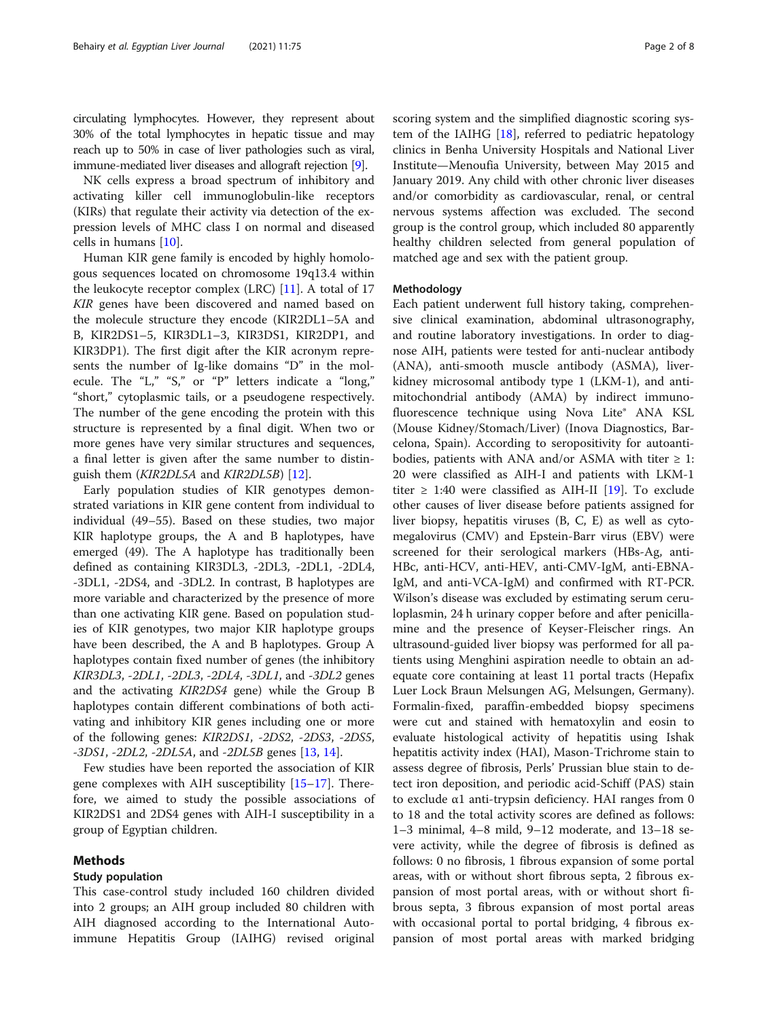circulating lymphocytes. However, they represent about 30% of the total lymphocytes in hepatic tissue and may reach up to 50% in case of liver pathologies such as viral, immune-mediated liver diseases and allograft rejection [\[9](#page-6-0)].

NK cells express a broad spectrum of inhibitory and activating killer cell immunoglobulin-like receptors (KIRs) that regulate their activity via detection of the expression levels of MHC class I on normal and diseased cells in humans [[10\]](#page-6-0).

Human KIR gene family is encoded by highly homologous sequences located on chromosome 19q13.4 within the leukocyte receptor complex (LRC) [\[11\]](#page-6-0). A total of 17 KIR genes have been discovered and named based on the molecule structure they encode (KIR2DL1–5A and B, KIR2DS1–5, KIR3DL1–3, KIR3DS1, KIR2DP1, and KIR3DP1). The first digit after the KIR acronym represents the number of Ig-like domains "D" in the molecule. The "L," "S," or "P" letters indicate a "long," "short," cytoplasmic tails, or a pseudogene respectively. The number of the gene encoding the protein with this structure is represented by a final digit. When two or more genes have very similar structures and sequences, a final letter is given after the same number to distinguish them  $(KIR2DLSA$  and  $KIR2DLSB$  [\[12](#page-6-0)].

Early population studies of KIR genotypes demonstrated variations in KIR gene content from individual to individual (49–55). Based on these studies, two major KIR haplotype groups, the A and B haplotypes, have emerged (49). The A haplotype has traditionally been defined as containing KIR3DL3, -2DL3, -2DL1, -2DL4, -3DL1, -2DS4, and -3DL2. In contrast, B haplotypes are more variable and characterized by the presence of more than one activating KIR gene. Based on population studies of KIR genotypes, two major KIR haplotype groups have been described, the A and B haplotypes. Group A haplotypes contain fixed number of genes (the inhibitory KIR3DL3, -2DL1, -2DL3, -2DL4, -3DL1, and -3DL2 genes and the activating KIR2DS4 gene) while the Group B haplotypes contain different combinations of both activating and inhibitory KIR genes including one or more of the following genes: KIR2DS1, -2DS2, -2DS3, -2DS5,  $-3DS1$ ,  $-2DL2$ ,  $-2DL5A$ , and  $-2DL5B$  genes [[13,](#page-6-0) [14\]](#page-6-0).

Few studies have been reported the association of KIR gene complexes with AIH susceptibility [\[15](#page-6-0)–[17\]](#page-6-0). Therefore, we aimed to study the possible associations of KIR2DS1 and 2DS4 genes with AIH-I susceptibility in a group of Egyptian children.

## Methods

## Study population

This case-control study included 160 children divided into 2 groups; an AIH group included 80 children with AIH diagnosed according to the International Autoimmune Hepatitis Group (IAIHG) revised original scoring system and the simplified diagnostic scoring system of the IAIHG  $[18]$  $[18]$ , referred to pediatric hepatology clinics in Benha University Hospitals and National Liver Institute—Menoufia University, between May 2015 and January 2019. Any child with other chronic liver diseases and/or comorbidity as cardiovascular, renal, or central nervous systems affection was excluded. The second group is the control group, which included 80 apparently healthy children selected from general population of matched age and sex with the patient group.

## Methodology

Each patient underwent full history taking, comprehensive clinical examination, abdominal ultrasonography, and routine laboratory investigations. In order to diagnose AIH, patients were tested for anti-nuclear antibody (ANA), anti-smooth muscle antibody (ASMA), liverkidney microsomal antibody type 1 (LKM-1), and antimitochondrial antibody (AMA) by indirect immunofluorescence technique using Nova Lite® ANA KSL (Mouse Kidney/Stomach/Liver) (Inova Diagnostics, Barcelona, Spain). According to seropositivity for autoantibodies, patients with ANA and/or ASMA with titer  $\geq 1$ : 20 were classified as AIH-I and patients with LKM-1 titer  $\geq$  1:40 were classified as AIH-II [\[19](#page-6-0)]. To exclude other causes of liver disease before patients assigned for liver biopsy, hepatitis viruses (B, C, E) as well as cytomegalovirus (CMV) and Epstein-Barr virus (EBV) were screened for their serological markers (HBs-Ag, anti-HBc, anti-HCV, anti-HEV, anti-CMV-IgM, anti-EBNA-IgM, and anti-VCA-IgM) and confirmed with RT-PCR. Wilson's disease was excluded by estimating serum ceruloplasmin, 24 h urinary copper before and after penicillamine and the presence of Keyser-Fleischer rings. An ultrasound-guided liver biopsy was performed for all patients using Menghini aspiration needle to obtain an adequate core containing at least 11 portal tracts (Hepafix Luer Lock Braun Melsungen AG, Melsungen, Germany). Formalin-fixed, paraffin-embedded biopsy specimens were cut and stained with hematoxylin and eosin to evaluate histological activity of hepatitis using Ishak hepatitis activity index (HAI), Mason-Trichrome stain to assess degree of fibrosis, Perls' Prussian blue stain to detect iron deposition, and periodic acid-Schiff (PAS) stain to exclude α1 anti-trypsin deficiency. HAI ranges from 0 to 18 and the total activity scores are defined as follows: 1–3 minimal, 4–8 mild, 9–12 moderate, and 13–18 severe activity, while the degree of fibrosis is defined as follows: 0 no fibrosis, 1 fibrous expansion of some portal areas, with or without short fibrous septa, 2 fibrous expansion of most portal areas, with or without short fibrous septa, 3 fibrous expansion of most portal areas with occasional portal to portal bridging, 4 fibrous expansion of most portal areas with marked bridging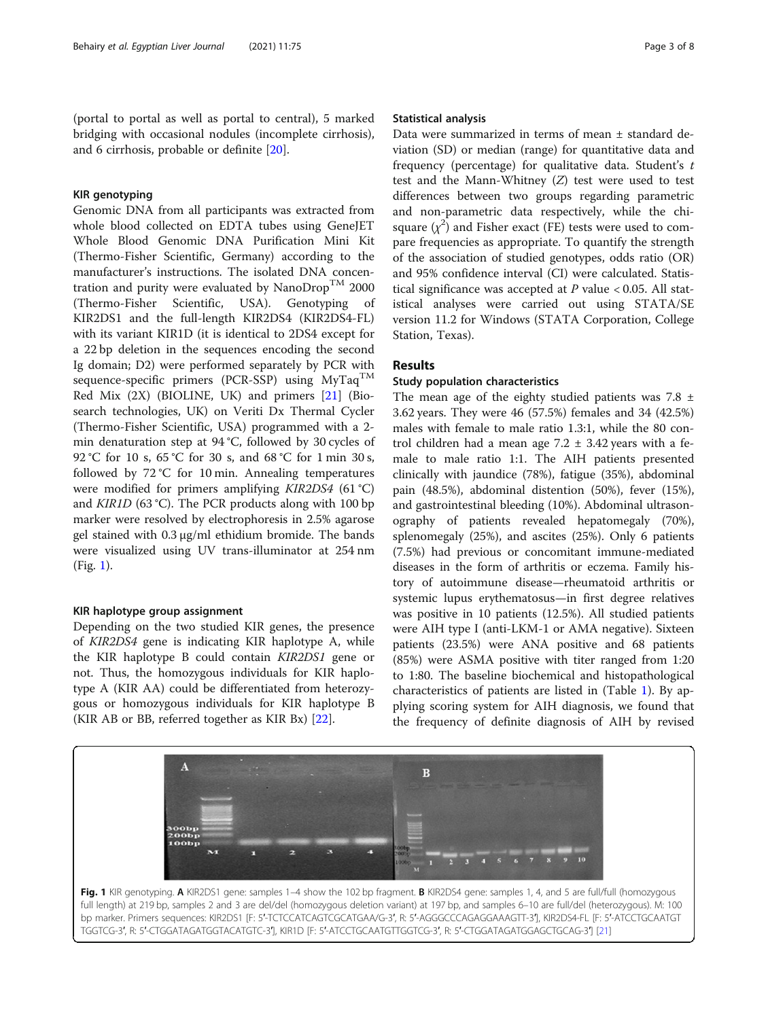(portal to portal as well as portal to central), 5 marked bridging with occasional nodules (incomplete cirrhosis), and 6 cirrhosis, probable or definite [\[20](#page-6-0)].

## KIR genotyping

Genomic DNA from all participants was extracted from whole blood collected on EDTA tubes using GeneJET Whole Blood Genomic DNA Purification Mini Kit (Thermo-Fisher Scientific, Germany) according to the manufacturer's instructions. The isolated DNA concentration and purity were evaluated by Nano $\text{Drop}^{\text{TM}}$  2000 (Thermo-Fisher Scientific, USA). Genotyping of KIR2DS1 and the full-length KIR2DS4 (KIR2DS4-FL) with its variant KIR1D (it is identical to 2DS4 except for a 22 bp deletion in the sequences encoding the second Ig domain; D2) were performed separately by PCR with sequence-specific primers (PCR-SSP) using  $MyTaq^{TM}$ Red Mix (2X) (BIOLINE, UK) and primers [\[21](#page-6-0)] (Biosearch technologies, UK) on Veriti Dx Thermal Cycler (Thermo-Fisher Scientific, USA) programmed with a 2 min denaturation step at 94 °C, followed by 30 cycles of 92 °C for 10 s, 65 °C for 30 s, and 68 °C for 1 min 30 s, followed by 72 °C for 10 min. Annealing temperatures were modified for primers amplifying *KIR2DS4* (61 °C) and KIR1D (63 °C). The PCR products along with 100 bp marker were resolved by electrophoresis in 2.5% agarose gel stained with 0.3 μg/ml ethidium bromide. The bands were visualized using UV trans-illuminator at 254 nm (Fig. 1).

#### KIR haplotype group assignment

Depending on the two studied KIR genes, the presence of KIR2DS4 gene is indicating KIR haplotype A, while the KIR haplotype B could contain KIR2DS1 gene or not. Thus, the homozygous individuals for KIR haplotype A (KIR AA) could be differentiated from heterozygous or homozygous individuals for KIR haplotype B (KIR AB or BB, referred together as KIR Bx) [[22\]](#page-6-0).

#### Statistical analysis

Data were summarized in terms of mean ± standard deviation (SD) or median (range) for quantitative data and frequency (percentage) for qualitative data. Student's t test and the Mann-Whitney (Z) test were used to test differences between two groups regarding parametric and non-parametric data respectively, while the chisquare  $(\chi^2)$  and Fisher exact (FE) tests were used to compare frequencies as appropriate. To quantify the strength of the association of studied genotypes, odds ratio (OR) and 95% confidence interval (CI) were calculated. Statistical significance was accepted at  $P$  value < 0.05. All statistical analyses were carried out using STATA/SE version 11.2 for Windows (STATA Corporation, College Station, Texas).

## Results

## Study population characteristics

The mean age of the eighty studied patients was  $7.8 \pm 1$ 3.62 years. They were 46 (57.5%) females and 34 (42.5%) males with female to male ratio 1.3:1, while the 80 control children had a mean age  $7.2 \pm 3.42$  years with a female to male ratio 1:1. The AIH patients presented clinically with jaundice (78%), fatigue (35%), abdominal pain (48.5%), abdominal distention (50%), fever (15%), and gastrointestinal bleeding (10%). Abdominal ultrasonography of patients revealed hepatomegaly (70%), splenomegaly (25%), and ascites (25%). Only 6 patients (7.5%) had previous or concomitant immune-mediated diseases in the form of arthritis or eczema. Family history of autoimmune disease—rheumatoid arthritis or systemic lupus erythematosus—in first degree relatives was positive in 10 patients (12.5%). All studied patients were AIH type I (anti-LKM-1 or AMA negative). Sixteen patients (23.5%) were ANA positive and 68 patients (85%) were ASMA positive with titer ranged from 1:20 to 1:80. The baseline biochemical and histopathological characteristics of patients are listed in (Table [1](#page-3-0)). By applying scoring system for AIH diagnosis, we found that the frequency of definite diagnosis of AIH by revised

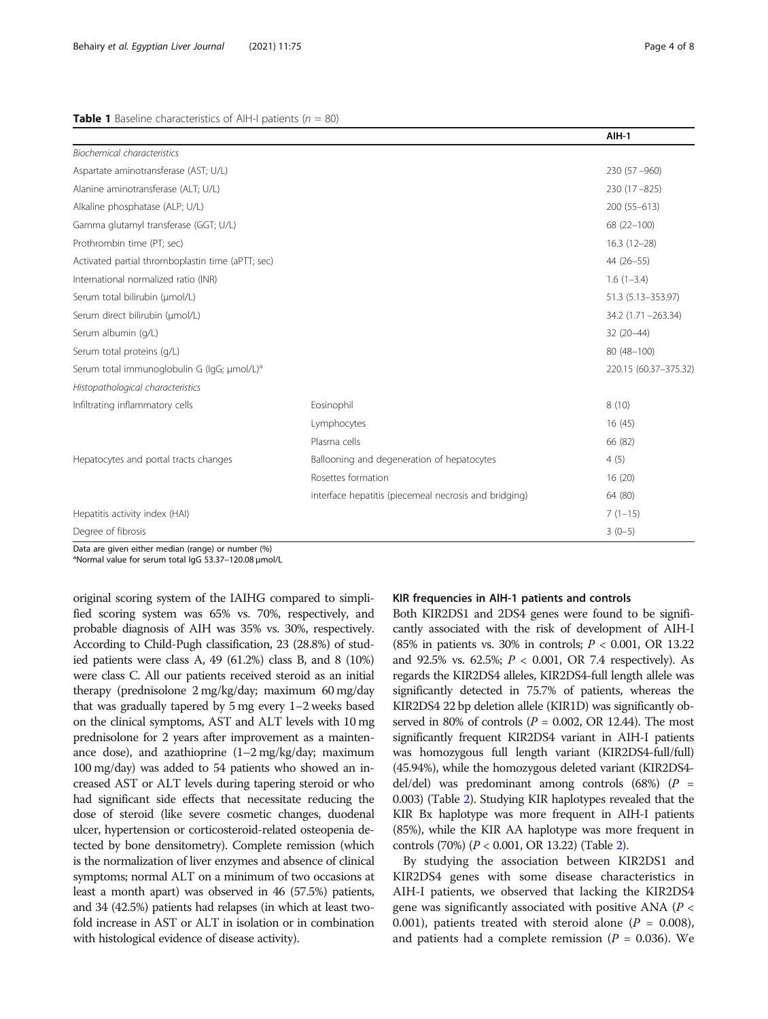#### <span id="page-3-0"></span>**Table 1** Baseline characteristics of AIH-I patients ( $n = 80$ )

|                                                         |                                                       | $AIH-1$              |
|---------------------------------------------------------|-------------------------------------------------------|----------------------|
| <b>Biochemical characteristics</b>                      |                                                       |                      |
| Aspartate aminotransferase (AST; U/L)                   |                                                       | $230(57 - 960)$      |
| Alanine aminotransferase (ALT; U/L)                     | $230(17 - 825)$                                       |                      |
| Alkaline phosphatase (ALP; U/L)                         |                                                       | $200(55-613)$        |
| Gamma glutamyl transferase (GGT; U/L)                   |                                                       | 68 (22-100)          |
| Prothrombin time (PT; sec)                              |                                                       | $16.3(12-28)$        |
| Activated partial thromboplastin time (aPTT; sec)       |                                                       | 44 (26-55)           |
| International normalized ratio (INR)                    |                                                       | $1.6(1-3.4)$         |
| Serum total bilirubin (µmol/L)                          |                                                       | 51.3 (5.13-353.97)   |
| Serum direct bilirubin (umol/L)                         |                                                       | 34.2 (1.71 - 263.34) |
| Serum albumin (q/L)                                     | 32 (20-44)                                            |                      |
| Serum total proteins (g/L)                              |                                                       | 80 (48-100)          |
| Serum total immunoglobulin G (IgG; µmol/L) <sup>a</sup> | 220.15 (60.37-375.32)                                 |                      |
| Histopathological characteristics                       |                                                       |                      |
| Infiltrating inflammatory cells                         | Eosinophil                                            | 8(10)                |
|                                                         | Lymphocytes                                           | 16(45)               |
|                                                         | Plasma cells                                          | 66 (82)              |
| Hepatocytes and portal tracts changes                   | Ballooning and degeneration of hepatocytes            | 4(5)                 |
|                                                         | Rosettes formation                                    | 16(20)               |
|                                                         | interface hepatitis (piecemeal necrosis and bridging) | 64 (80)              |
| Hepatitis activity index (HAI)                          |                                                       | $7(1-15)$            |
| Degree of fibrosis                                      |                                                       | $3(0-5)$             |

Data are given either median (range) or number (%)

<sup>a</sup>Normal value for serum total IgG 53.37-120.08 μmol/L

original scoring system of the IAIHG compared to simplified scoring system was 65% vs. 70%, respectively, and probable diagnosis of AIH was 35% vs. 30%, respectively. According to Child-Pugh classification, 23 (28.8%) of studied patients were class A, 49 (61.2%) class B, and 8 (10%) were class C. All our patients received steroid as an initial therapy (prednisolone 2 mg/kg/day; maximum 60 mg/day that was gradually tapered by 5 mg every 1–2 weeks based on the clinical symptoms, AST and ALT levels with 10 mg prednisolone for 2 years after improvement as a maintenance dose), and azathioprine  $(1-2 \text{ mg/kg/day};$  maximum 100 mg/day) was added to 54 patients who showed an increased AST or ALT levels during tapering steroid or who had significant side effects that necessitate reducing the dose of steroid (like severe cosmetic changes, duodenal ulcer, hypertension or corticosteroid-related osteopenia detected by bone densitometry). Complete remission (which is the normalization of liver enzymes and absence of clinical symptoms; normal ALT on a minimum of two occasions at least a month apart) was observed in 46 (57.5%) patients, and 34 (42.5%) patients had relapses (in which at least twofold increase in AST or ALT in isolation or in combination with histological evidence of disease activity).

#### KIR frequencies in AIH-1 patients and controls

Both KIR2DS1 and 2DS4 genes were found to be significantly associated with the risk of development of AIH-I (85% in patients vs. 30% in controls;  $P < 0.001$ , OR 13.22 and 92.5% vs. 62.5%;  $P < 0.001$ , OR 7.4 respectively). As regards the KIR2DS4 alleles, KIR2DS4-full length allele was significantly detected in 75.7% of patients, whereas the KIR2DS4 22 bp deletion allele (KIR1D) was significantly observed in 80% of controls ( $P = 0.002$ , OR 12.44). The most significantly frequent KIR2DS4 variant in AIH-I patients was homozygous full length variant (KIR2DS4-full/full) (45.94%), while the homozygous deleted variant (KIR2DS4 del/del) was predominant among controls  $(68%)$   $(P =$ 0.003) (Table [2](#page-4-0)). Studying KIR haplotypes revealed that the KIR Bx haplotype was more frequent in AIH-I patients (85%), while the KIR AA haplotype was more frequent in controls (70%) (P < 0.001, OR 13.22) (Table [2\)](#page-4-0).

By studying the association between KIR2DS1 and KIR2DS4 genes with some disease characteristics in AIH-I patients, we observed that lacking the KIR2DS4 gene was significantly associated with positive ANA ( $P <$ 0.001), patients treated with steroid alone ( $P = 0.008$ ), and patients had a complete remission ( $P = 0.036$ ). We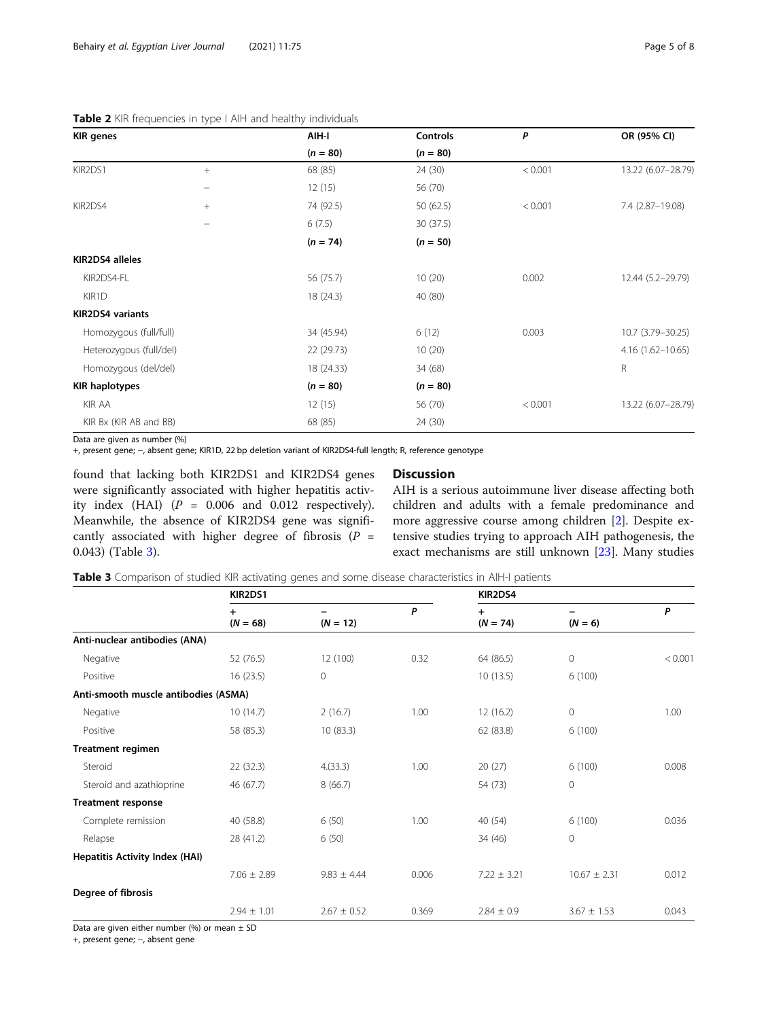## <span id="page-4-0"></span>Table 2 KIR frequencies in type I AIH and healthy individuals

| <b>KIR</b> genes        |                          | AIH-I      | Controls   | P       | OR (95% CI)          |
|-------------------------|--------------------------|------------|------------|---------|----------------------|
|                         |                          | $(n = 80)$ | $(n = 80)$ |         |                      |
| KIR2DS1                 | $+$                      | 68 (85)    | 24 (30)    | < 0.001 | 13.22 (6.07-28.79)   |
|                         | $\overline{\phantom{0}}$ | 12(15)     | 56 (70)    |         |                      |
| KIR2DS4                 | $+$                      | 74 (92.5)  | 50 (62.5)  | < 0.001 | 7.4 (2.87-19.08)     |
|                         |                          | 6(7.5)     | 30 (37.5)  |         |                      |
|                         |                          | $(n = 74)$ | $(n = 50)$ |         |                      |
| KIR2DS4 alleles         |                          |            |            |         |                      |
| KIR2DS4-FL              |                          | 56 (75.7)  | 10(20)     | 0.002   | 12.44 (5.2-29.79)    |
| KIR1D                   |                          | 18(24.3)   | 40 (80)    |         |                      |
| <b>KIR2DS4 variants</b> |                          |            |            |         |                      |
| Homozygous (full/full)  |                          | 34 (45.94) | 6(12)      | 0.003   | 10.7 (3.79 - 30.25)  |
| Heterozygous (full/del) |                          | 22 (29.73) | 10(20)     |         | $4.16(1.62 - 10.65)$ |
| Homozygous (del/del)    |                          | 18 (24.33) | 34 (68)    |         | $\mathsf R$          |
| <b>KIR haplotypes</b>   |                          | $(n = 80)$ | $(n = 80)$ |         |                      |
| KIR AA                  |                          | 12(15)     | 56 (70)    | < 0.001 | 13.22 (6.07-28.79)   |
| KIR Bx (KIR AB and BB)  |                          | 68 (85)    | 24 (30)    |         |                      |

Data are given as number (%)

+, present gene; −, absent gene; KIR1D, 22 bp deletion variant of KIR2DS4-full length; R, reference genotype

found that lacking both KIR2DS1 and KIR2DS4 genes were significantly associated with higher hepatitis activity index (HAI)  $(P = 0.006$  and 0.012 respectively). Meanwhile, the absence of KIR2DS4 gene was significantly associated with higher degree of fibrosis ( $P =$ 0.043) (Table 3).

## **Discussion**

AIH is a serious autoimmune liver disease affecting both children and adults with a female predominance and more aggressive course among children [\[2](#page-6-0)]. Despite extensive studies trying to approach AIH pathogenesis, the exact mechanisms are still unknown [\[23](#page-6-0)]. Many studies

Table 3 Comparison of studied KIR activating genes and some disease characteristics in AIH-I patients

|                                      | KIR2DS1                 |                 |       | KIR2DS4                 |                  |         |
|--------------------------------------|-------------------------|-----------------|-------|-------------------------|------------------|---------|
|                                      | $\ddot{}$<br>$(N = 68)$ | $(N = 12)$      | P     | $\ddot{}$<br>$(N = 74)$ | $(N = 6)$        | P       |
| Anti-nuclear antibodies (ANA)        |                         |                 |       |                         |                  |         |
| Negative                             | 52 (76.5)               | 12 (100)        | 0.32  | 64 (86.5)               | 0                | < 0.001 |
| Positive                             | 16(23.5)                | 0               |       | 10(13.5)                | 6(100)           |         |
| Anti-smooth muscle antibodies (ASMA) |                         |                 |       |                         |                  |         |
| Negative                             | 10(14.7)                | 2(16.7)         | 1.00  | 12(16.2)                | 0                | 1.00    |
| Positive                             | 58 (85.3)               | 10(83.3)        |       | 62 (83.8)               | 6(100)           |         |
| <b>Treatment regimen</b>             |                         |                 |       |                         |                  |         |
| Steroid                              | 22(32.3)                | 4(33.3)         | 1.00  | 20(27)                  | 6(100)           | 0.008   |
| Steroid and azathioprine             | 46 (67.7)               | 8(66.7)         |       | 54 (73)                 | 0                |         |
| <b>Treatment response</b>            |                         |                 |       |                         |                  |         |
| Complete remission                   | 40 (58.8)               | 6(50)           | 1.00  | 40 (54)                 | 6(100)           | 0.036   |
| Relapse                              | 28 (41.2)               | 6(50)           |       | 34 (46)                 | $\mathbf 0$      |         |
| Hepatitis Activity Index (HAI)       |                         |                 |       |                         |                  |         |
|                                      | $7.06 \pm 2.89$         | $9.83 \pm 4.44$ | 0.006 | $7.22 \pm 3.21$         | $10.67 \pm 2.31$ | 0.012   |
| Degree of fibrosis                   |                         |                 |       |                         |                  |         |
|                                      | $2.94 \pm 1.01$         | $2.67 \pm 0.52$ | 0.369 | $2.84 \pm 0.9$          | $3.67 \pm 1.53$  | 0.043   |

Data are given either number (%) or mean  $\pm$  SD

+, present gene; −, absent gene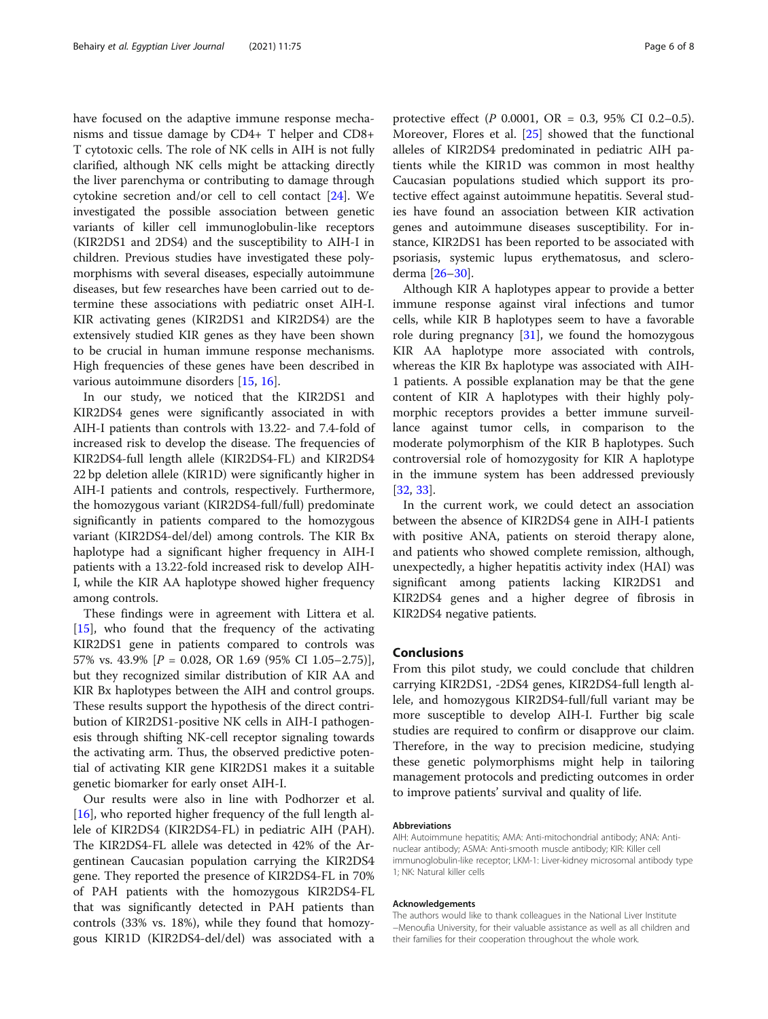have focused on the adaptive immune response mechanisms and tissue damage by CD4+ T helper and CD8+ T cytotoxic cells. The role of NK cells in AIH is not fully clarified, although NK cells might be attacking directly the liver parenchyma or contributing to damage through cytokine secretion and/or cell to cell contact [[24](#page-6-0)]. We investigated the possible association between genetic variants of killer cell immunoglobulin-like receptors (KIR2DS1 and 2DS4) and the susceptibility to AIH-I in children. Previous studies have investigated these polymorphisms with several diseases, especially autoimmune diseases, but few researches have been carried out to determine these associations with pediatric onset AIH-I. KIR activating genes (KIR2DS1 and KIR2DS4) are the extensively studied KIR genes as they have been shown to be crucial in human immune response mechanisms. High frequencies of these genes have been described in various autoimmune disorders [\[15](#page-6-0), [16](#page-6-0)].

In our study, we noticed that the KIR2DS1 and KIR2DS4 genes were significantly associated in with AIH-I patients than controls with 13.22- and 7.4-fold of increased risk to develop the disease. The frequencies of KIR2DS4-full length allele (KIR2DS4-FL) and KIR2DS4 22 bp deletion allele (KIR1D) were significantly higher in AIH-I patients and controls, respectively. Furthermore, the homozygous variant (KIR2DS4-full/full) predominate significantly in patients compared to the homozygous variant (KIR2DS4-del/del) among controls. The KIR Bx haplotype had a significant higher frequency in AIH-I patients with a 13.22-fold increased risk to develop AIH-I, while the KIR AA haplotype showed higher frequency among controls.

These findings were in agreement with Littera et al. [[15\]](#page-6-0), who found that the frequency of the activating KIR2DS1 gene in patients compared to controls was 57% vs. 43.9% [P = 0.028, OR 1.69 (95% CI 1.05–2.75)], but they recognized similar distribution of KIR AA and KIR Bx haplotypes between the AIH and control groups. These results support the hypothesis of the direct contribution of KIR2DS1-positive NK cells in AIH-I pathogenesis through shifting NK-cell receptor signaling towards the activating arm. Thus, the observed predictive potential of activating KIR gene KIR2DS1 makes it a suitable genetic biomarker for early onset AIH-I.

Our results were also in line with Podhorzer et al. [[16\]](#page-6-0), who reported higher frequency of the full length allele of KIR2DS4 (KIR2DS4-FL) in pediatric AIH (PAH). The KIR2DS4-FL allele was detected in 42% of the Argentinean Caucasian population carrying the KIR2DS4 gene. They reported the presence of KIR2DS4-FL in 70% of PAH patients with the homozygous KIR2DS4-FL that was significantly detected in PAH patients than controls (33% vs. 18%), while they found that homozygous KIR1D (KIR2DS4-del/del) was associated with a protective effect (P 0.0001, OR = 0.3, 95% CI 0.2–0.5). Moreover, Flores et al. [\[25\]](#page-6-0) showed that the functional alleles of KIR2DS4 predominated in pediatric AIH patients while the KIR1D was common in most healthy Caucasian populations studied which support its protective effect against autoimmune hepatitis. Several studies have found an association between KIR activation genes and autoimmune diseases susceptibility. For instance, KIR2DS1 has been reported to be associated with psoriasis, systemic lupus erythematosus, and scleroderma [[26](#page-6-0)–[30](#page-7-0)].

Although KIR A haplotypes appear to provide a better immune response against viral infections and tumor cells, while KIR B haplotypes seem to have a favorable role during pregnancy  $[31]$ , we found the homozygous KIR AA haplotype more associated with controls, whereas the KIR Bx haplotype was associated with AIH-1 patients. A possible explanation may be that the gene content of KIR A haplotypes with their highly polymorphic receptors provides a better immune surveillance against tumor cells, in comparison to the moderate polymorphism of the KIR B haplotypes. Such controversial role of homozygosity for KIR A haplotype in the immune system has been addressed previously [[32,](#page-7-0) [33\]](#page-7-0).

In the current work, we could detect an association between the absence of KIR2DS4 gene in AIH-I patients with positive ANA, patients on steroid therapy alone, and patients who showed complete remission, although, unexpectedly, a higher hepatitis activity index (HAI) was significant among patients lacking KIR2DS1 and KIR2DS4 genes and a higher degree of fibrosis in KIR2DS4 negative patients.

## Conclusions

From this pilot study, we could conclude that children carrying KIR2DS1, -2DS4 genes, KIR2DS4-full length allele, and homozygous KIR2DS4-full/full variant may be more susceptible to develop AIH-I. Further big scale studies are required to confirm or disapprove our claim. Therefore, in the way to precision medicine, studying these genetic polymorphisms might help in tailoring management protocols and predicting outcomes in order to improve patients' survival and quality of life.

#### Abbreviations

AIH: Autoimmune hepatitis; AMA: Anti-mitochondrial antibody; ANA: Antinuclear antibody; ASMA: Anti-smooth muscle antibody; KIR: Killer cell immunoglobulin-like receptor; LKM-1: Liver-kidney microsomal antibody type 1; NK: Natural killer cells

#### Acknowledgements

The authors would like to thank colleagues in the National Liver Institute −Menoufia University, for their valuable assistance as well as all children and their families for their cooperation throughout the whole work.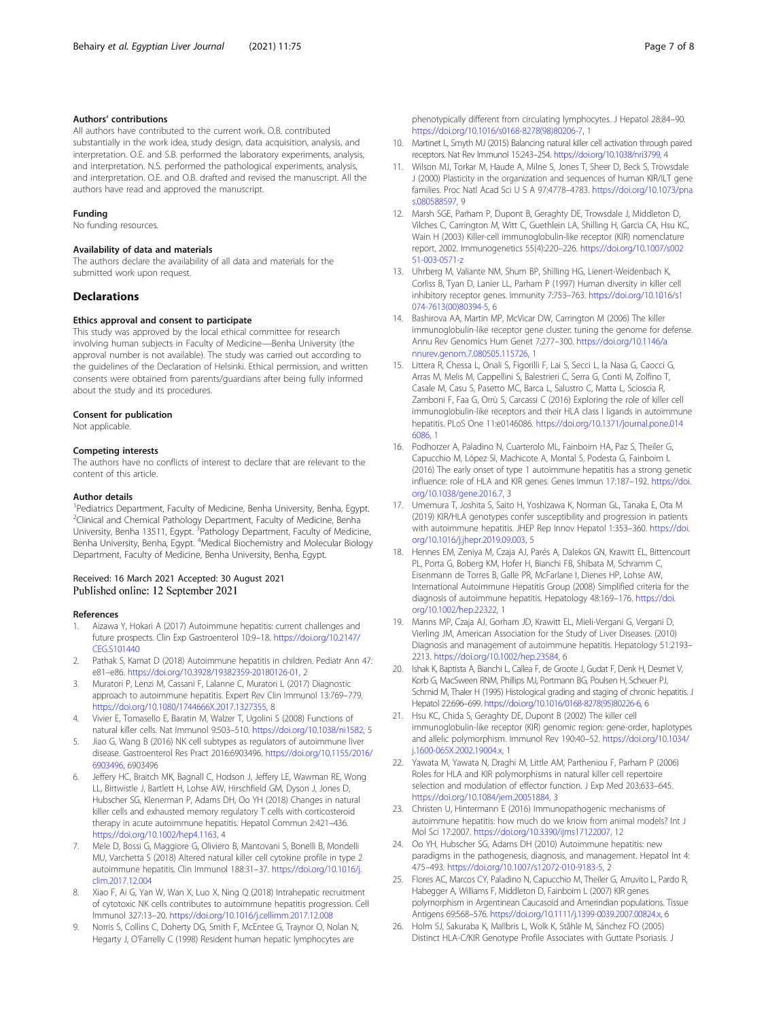### <span id="page-6-0"></span>Authors' contributions

All authors have contributed to the current work. O.B. contributed substantially in the work idea, study design, data acquisition, analysis, and interpretation. O.E. and S.B. performed the laboratory experiments, analysis, and interpretation. N.S. performed the pathological experiments, analysis, and interpretation. O.E. and O.B. drafted and revised the manuscript. All the authors have read and approved the manuscript.

#### Funding

No funding resources.

## Availability of data and materials

The authors declare the availability of all data and materials for the submitted work upon request.

#### **Declarations**

## Ethics approval and consent to participate

This study was approved by the local ethical committee for research involving human subjects in Faculty of Medicine—Benha University (the approval number is not available). The study was carried out according to the guidelines of the Declaration of Helsinki. Ethical permission, and written consents were obtained from parents/guardians after being fully informed about the study and its procedures.

#### Consent for publication

Not applicable.

#### Competing interests

The authors have no conflicts of interest to declare that are relevant to the content of this article.

#### Author details

<sup>1</sup>Pediatrics Department, Faculty of Medicine, Benha University, Benha, Egypt. <sup>2</sup>Clinical and Chemical Pathology Department, Faculty of Medicine, Benha University, Benha 13511, Egypt. <sup>3</sup>Pathology Department, Faculty of Medicine, Benha University, Benha, Egypt. <sup>4</sup>Medical Biochemistry and Molecular Biology Department, Faculty of Medicine, Benha University, Benha, Egypt.

#### Received: 16 March 2021 Accepted: 30 August 2021 Published online: 12 September 2021

#### References

- 1. Aizawa Y, Hokari A (2017) Autoimmune hepatitis: current challenges and future prospects. Clin Exp Gastroenterol 10:9–18. [https://doi.org/10.2147/](https://doi.org/10.2147/CEG.S101440) [CEG.S101440](https://doi.org/10.2147/CEG.S101440)
- 2. Pathak S, Kamat D (2018) Autoimmune hepatitis in children. Pediatr Ann 47: e81–e86. [https://doi.org/10.3928/19382359-20180126-01,](https://doi.org/10.3928/19382359-20180126-01) 2
- 3. Muratori P, Lenzi M, Cassani F, Lalanne C, Muratori L (2017) Diagnostic approach to autoimmune hepatitis. Expert Rev Clin Immunol 13:769–779. [https://doi.org/10.1080/1744666X.2017.1327355,](https://doi.org/10.1080/1744666X.2017.1327355) 8
- 4. Vivier E, Tomasello E, Baratin M, Walzer T, Ugolini S (2008) Functions of natural killer cells. Nat Immunol 9:503–510. [https://doi.org/10.1038/ni1582,](https://doi.org/10.1038/ni1582) 5
- 5. Jiao G, Wang B (2016) NK cell subtypes as regulators of autoimmune liver disease. Gastroenterol Res Pract 2016:6903496. [https://doi.org/10.1155/2016/](https://doi.org/10.1155/2016/6903496) [6903496,](https://doi.org/10.1155/2016/6903496) 6903496
- 6. Jeffery HC, Braitch MK, Bagnall C, Hodson J, Jeffery LE, Wawman RE, Wong LL, Birtwistle J, Bartlett H, Lohse AW, Hirschfield GM, Dyson J, Jones D, Hubscher SG, Klenerman P, Adams DH, Oo YH (2018) Changes in natural killer cells and exhausted memory regulatory T cells with corticosteroid therapy in acute autoimmune hepatitis. Hepatol Commun 2:421–436. <https://doi.org/10.1002/hep4.1163>, 4
- 7. Mele D, Bossi G, Maggiore G, Oliviero B, Mantovani S, Bonelli B, Mondelli MU, Varchetta S (2018) Altered natural killer cell cytokine profile in type 2 autoimmune hepatitis. Clin Immunol 188:31–37. [https://doi.org/10.1016/j.](https://doi.org/10.1016/j.clim.2017.12.004) [clim.2017.12.004](https://doi.org/10.1016/j.clim.2017.12.004)
- Xiao F, Ai G, Yan W, Wan X, Luo X, Ning Q (2018) Intrahepatic recruitment of cytotoxic NK cells contributes to autoimmune hepatitis progression. Cell Immunol 327:13–20. <https://doi.org/10.1016/j.cellimm.2017.12.008>
- 9. Norris S, Collins C, Doherty DG, Smith F, McEntee G, Traynor O, Nolan N, Hegarty J, O'Farrelly C (1998) Resident human hepatic lymphocytes are

phenotypically different from circulating lymphocytes. J Hepatol 28:84–90. [https://doi.org/10.1016/s0168-8278\(98\)80206-7](https://doi.org/10.1016/s0168-8278(98)80206-7), 1

- 10. Martinet L, Smyth MJ (2015) Balancing natural killer cell activation through paired receptors. Nat Rev Immunol 15:243–254. [https://doi.org/10.1038/nri3799,](https://doi.org/10.1038/nri3799) 4
- 11. Wilson MJ, Torkar M, Haude A, Milne S, Jones T, Sheer D, Beck S, Trowsdale J (2000) Plasticity in the organization and sequences of human KIR/ILT gene families. Proc Natl Acad Sci U S A 97:4778–4783. [https://doi.org/10.1073/pna](https://doi.org/10.1073/pnas.080588597) [s.080588597](https://doi.org/10.1073/pnas.080588597), 9
- 12. Marsh SGE, Parham P, Dupont B, Geraghty DE, Trowsdale J, Middleton D, Vilches C, Carrington M, Witt C, Guethlein LA, Shilling H, Garcia CA, Hsu KC, Wain H (2003) Killer-cell immunoglobulin-like receptor (KIR) nomenclature report, 2002. Immunogenetics 55(4):220–226. [https://doi.org/10.1007/s002](https://doi.org/10.1007/s00251-003-0571-z) [51-003-0571-z](https://doi.org/10.1007/s00251-003-0571-z)
- 13. Uhrberg M, Valiante NM, Shum BP, Shilling HG, Lienert-Weidenbach K, Corliss B, Tyan D, Lanier LL, Parham P (1997) Human diversity in killer cell inhibitory receptor genes. Immunity 7:753–763. [https://doi.org/10.1016/s1](https://doi.org/10.1016/s1074-7613(00)80394-5) [074-7613\(00\)80394-5,](https://doi.org/10.1016/s1074-7613(00)80394-5) 6
- 14. Bashirova AA, Martin MP, McVicar DW, Carrington M (2006) The killer immunoglobulin-like receptor gene cluster: tuning the genome for defense. Annu Rev Genomics Hum Genet 7:277–300. [https://doi.org/10.1146/a](https://doi.org/10.1146/annurev.genom.7.080505.115726) [nnurev.genom.7.080505.115726](https://doi.org/10.1146/annurev.genom.7.080505.115726), 1
- 15. Littera R, Chessa L, Onali S, Figorilli F, Lai S, Secci L, la Nasa G, Caocci G, Arras M, Melis M, Cappellini S, Balestrieri C, Serra G, Conti M, Zolfino T, Casale M, Casu S, Pasetto MC, Barca L, Salustro C, Matta L, Scioscia R, Zamboni F, Faa G, Orrù S, Carcassi C (2016) Exploring the role of killer cell immunoglobulin-like receptors and their HLA class I ligands in autoimmune hepatitis. PLoS One 11:e0146086. [https://doi.org/10.1371/journal.pone.014](https://doi.org/10.1371/journal.pone.0146086) [6086](https://doi.org/10.1371/journal.pone.0146086), 1
- 16. Podhorzer A, Paladino N, Cuarterolo ML, Fainboim HA, Paz S, Theiler G, Capucchio M, López SI, Machicote A, Montal S, Podesta G, Fainboim L (2016) The early onset of type 1 autoimmune hepatitis has a strong genetic influence: role of HLA and KIR genes. Genes Immun 17:187–192. [https://doi.](https://doi.org/10.1038/gene.2016.7) [org/10.1038/gene.2016.7,](https://doi.org/10.1038/gene.2016.7) 3
- 17. Umemura T, Joshita S, Saito H, Yoshizawa K, Norman GL, Tanaka E, Ota M (2019) KIR/HLA genotypes confer susceptibility and progression in patients with autoimmune hepatitis. JHEP Rep Innov Hepatol 1:353–360. [https://doi.](https://doi.org/10.1016/j.jhepr.2019.09.003) [org/10.1016/j.jhepr.2019.09.003,](https://doi.org/10.1016/j.jhepr.2019.09.003) 5
- 18. Hennes EM, Zeniya M, Czaja AJ, Parés A, Dalekos GN, Krawitt EL, Bittencourt PL, Porta G, Boberg KM, Hofer H, Bianchi FB, Shibata M, Schramm C, Eisenmann de Torres B, Galle PR, McFarlane I, Dienes HP, Lohse AW, International Autoimmune Hepatitis Group (2008) Simplified criteria for the diagnosis of autoimmune hepatitis. Hepatology 48:169–176. [https://doi.](https://doi.org/10.1002/hep.22322) [org/10.1002/hep.22322](https://doi.org/10.1002/hep.22322), 1
- 19. Manns MP, Czaja AJ, Gorham JD, Krawitt EL, Mieli-Vergani G, Vergani D, Vierling JM, American Association for the Study of Liver Diseases. (2010) Diagnosis and management of autoimmune hepatitis. Hepatology 51:2193– 2213. <https://doi.org/10.1002/hep.23584>, 6
- 20. Ishak K, Baptista A, Bianchi L, Callea F, de Groote J, Gudat F, Denk H, Desmet V, Korb G, MacSween RNM, Phillips MJ, Portmann BG, Poulsen H, Scheuer PJ, Schmid M, Thaler H (1995) Histological grading and staging of chronic hepatitis. J Hepatol 22:696–699. [https://doi.org/10.1016/0168-8278\(95\)80226-6](https://doi.org/10.1016/0168-8278(95)80226-6), 6
- 21. Hsu KC, Chida S, Geraghty DE, Dupont B (2002) The killer cell immunoglobulin-like receptor (KIR) genomic region: gene-order, haplotypes and allelic polymorphism. Immunol Rev 190:40–52. [https://doi.org/10.1034/](https://doi.org/10.1034/j.1600-065X.2002.19004.x) [j.1600-065X.2002.19004.x,](https://doi.org/10.1034/j.1600-065X.2002.19004.x) 1
- 22. Yawata M, Yawata N, Draghi M, Little AM, Partheniou F, Parham P (2006) Roles for HLA and KIR polymorphisms in natural killer cell repertoire selection and modulation of effector function. J Exp Med 203:633–645. <https://doi.org/10.1084/jem.20051884>, 3
- 23. Christen U, Hintermann E (2016) Immunopathogenic mechanisms of autoimmune hepatitis: how much do we know from animal models? Int J Mol Sci 17:2007. <https://doi.org/10.3390/ijms17122007>, 12
- 24. Oo YH, Hubscher SG, Adams DH (2010) Autoimmune hepatitis: new paradigms in the pathogenesis, diagnosis, and management. Hepatol Int 4: 475–493. <https://doi.org/10.1007/s12072-010-9183-5>, 2
- 25. Flores AC, Marcos CY, Paladino N, Capucchio M, Theiler G, Arruvito L, Pardo R, Habegger A, Williams F, Middleton D, Fainboim L (2007) KIR genes polymorphism in Argentinean Caucasoid and Amerindian populations. Tissue Antigens 69:568–576. [https://doi.org/10.1111/j.1399-0039.2007.00824.x,](https://doi.org/10.1111/j.1399-0039.2007.00824.x) 6
- 26. Holm SJ, Sakuraba K, Mallbris L, Wolk K, Ståhle M, Sánchez FO (2005) Distinct HLA-C/KIR Genotype Profile Associates with Guttate Psoriasis. J